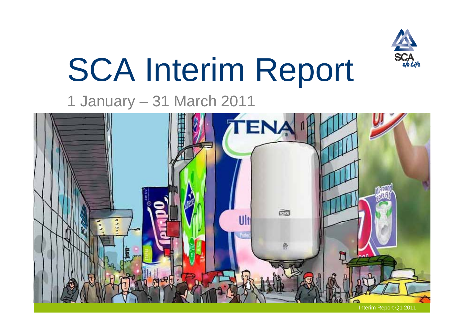

# SCA Interim Report

# 1 January – 31 March 2011

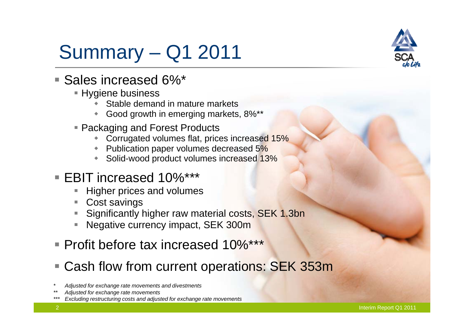# Summary – Q1 2011



## ■ Sales increased 6%\*

- **Hygiene business** 
	- ۰ Stable demand in mature markets
	- ۰ Good growth in emerging markets, 8%\*\*
- Packaging and Forest Products
	- Corrugated volumes flat, prices increased 15%
	- Publication paper volumes decreased 5%
	- ۰ Solid-wood product volumes increased 13%
- EBIT increased 10%\*\*\*
	- П Higher prices and volumes
	- П Cost savings
	- П Significantly higher raw material costs, SEK 1.3bn
	- П Negative currency impact, SEK 300m
- Profit before tax increased 10%\*\*\*
- Cash flow from current operations: SEK 353m
- *\* Adjusted for exchange rate movements and divestments*
- *\*\* Adjusted for exchange rate movements*
- *\*\*\* Excluding restructuring costs and adjusted for exchange rate movements*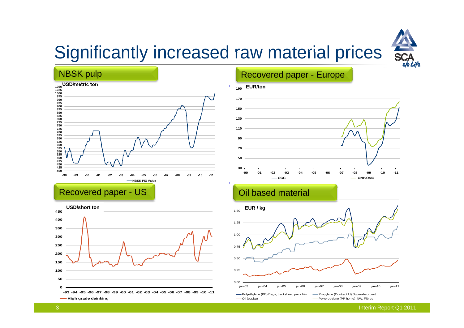

# Significantly increased raw material prices



Recovered paper - US CONDITION CONTROLLER POINT ON BASED MATERIAL



#### Recovered paper - Europe



#### $\mathcal{L}$  . The set of  $\mathcal{L}$



Interim Report Q1 2011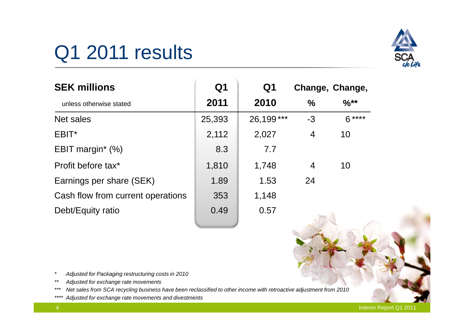

# Q1 2011 results

| <b>SEK millions</b>               | Q <sub>1</sub> | Q <sub>1</sub> |               | Change, Change,  |
|-----------------------------------|----------------|----------------|---------------|------------------|
| unless otherwise stated           | 2011           | 2010           | $\frac{0}{0}$ | $\frac{9}{6}$ ** |
| Net sales                         | 25,393         | 26,199***      | $-3$          | $6***$           |
| EBIT*                             | 2,112          | 2,027          | 4             | 10               |
| EBIT margin <sup>*</sup> $(\%)$   | 8.3            | 7.7            |               |                  |
| Profit before tax*                | 1,810          | 1,748          | 4             | 10               |
| Earnings per share (SEK)          | 1.89           | 1.53           | 24            |                  |
| Cash flow from current operations | 353            | 1,148          |               |                  |
| Debt/Equity ratio                 | 0.49           | 0.57           |               |                  |

*\*Adjusted for Packaging restructuring costs in 2010*

*\*\* Adjusted for exchange rate movements*

*\*\*\* Net sales from SCA recycling business have been reclassified to other income with retroactive adjustment from 2010*

*\*\*\*\* Adjusted for exchange rate movements and divestments*

Interim Report Q1 2011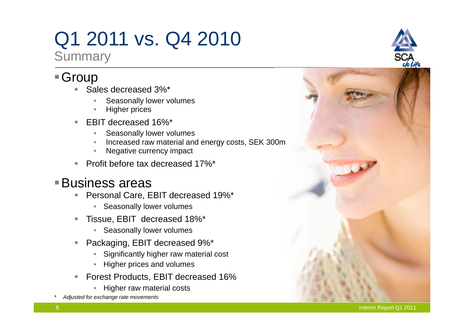# Q1 2011 vs. Q4 2010

**Summary** 

## ■Group

- ٠ ◆ Sales decreased 3%\*
	- •Seasonally lower volumes
	- •Higher prices
- ٠ EBIT decreased 16%\*
	- •Seasonally lower volumes
	- •Increased raw material and energy costs, SEK 300m
	- •Negative currency impact
- ٠ ◆ Profit before tax decreased 17%\*

#### Business areas

- ۰ Personal Care, EBIT decreased 19%\*
	- Seasonally lower volumes
- $\begin{array}{c} \bullet \\ \bullet \end{array}$  Tissue, EBIT decreased 18%\*
	- Seasonally lower volumes
- $\ddot{\bullet}$  Packaging, EBIT decreased 9%\*
	- •Significantly higher raw material cost
	- •Higher prices and volumes
- $\ddot{\bullet}$ ◆ Forest Products, EBIT decreased 16% orest Products, EBIT decreased 16%<br>• Higher raw material costs
	- Higher raw material costs
- *\* Adjusted for exchange rate movements*



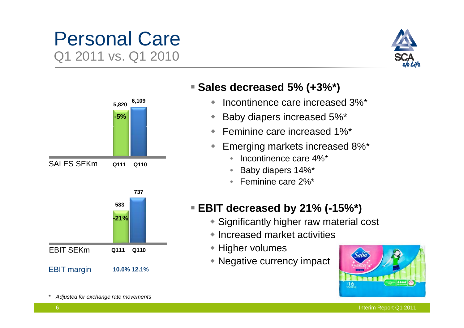# Personal Care Q1 2011 vs. Q1 2010





**Sales decreased 5% (+3%\*) (+3% )**

- $\blacklozenge$ Incontinence care increased 3%\*
- ۰ Baby diapers increased 5%\*
- $\blacklozenge$ Feminine care increased 1%\*
- $\blacklozenge$  Emerging markets increased 8%\*
	- •Incontinence care 4%\*
	- $\bullet$ Baby diapers 14%\*
	- Feminine care 2%\*

#### **EBIT decreased by 21% (-15%\*)**

- Significantly higher raw material cost
- Increased market activities \_\_\_\_\_\_\_
- **+ Higher volumes**
- Negative currency impact



*\* Adjusted for exchange rate movements*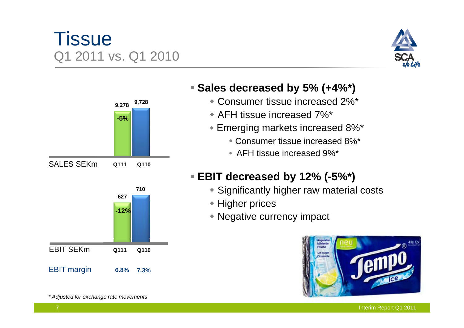# **Tissue** Q1 2011 vs. Q1 2010





*\* Adjusted for exchange rate movements*

#### **Sales decreased by 5% (+4%\*) (+4% )**

- Consumer tissue increased 2%\*
- AFH tissue increased 7%\*
- Emerging markets increased 8%\*
	- Consumer tissue increased 8%\*
	- AFH tissue increased 9%\*

#### **EBIT decreased by 12% (-5%\*)**

- Significantly higher raw material costs
- Higher prices
- Negative currency impact

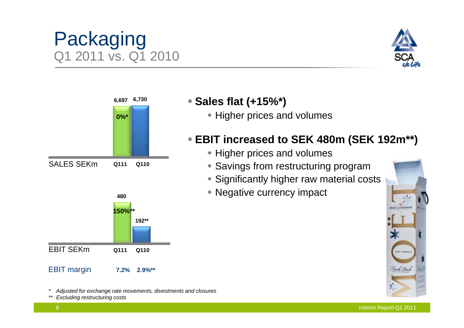# **0%\*6,697 6,730**

# Packaging Q1 2011 vs. Q1 2010

 $SALES SEKm$  Q111 Q110 **480150%\*\*192\*\***

EBIT margin **7.2% 2.9%\*\***

EBIT SEKm

*\* Adjusted for exchange rate movements, divestments and closures*

**Q111 Q110**

*\*\* Excluding restructuring costs*

#### **Sales flat (+15%\*)**

• Higher prices and volumes

### **EBIT increased to SEK 480m (SEK 192m\*\*)**

- Higher prices and volumes
- **Q111** Q110 Savings from restructuring program
	- Significantly higher raw material costs
	- Negative currency impact



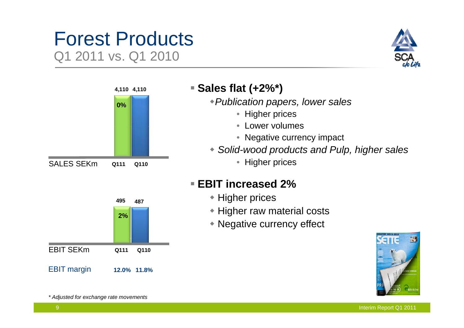# Forest Products Q1 2011 vs. Q1 2010





#### **Sales flat (+2%\*) 4,1104,110 (+2% )**

*Publication papers, lower sales*

- Higher prices
- Lower volumes
- Negative currency impact
- *Solid-wood products and Pulp, higher sales*
	-

#### **EBIT increased 2%**

- $\overline{z}$  + Higher prices
	- Higher raw material costs
	- Negative currency effect



**495 4872%**EBIT margin **12.0% 11.8%** EBIT SEKm**Q111 Q110** 

*\* Adjusted for exchange rate movements*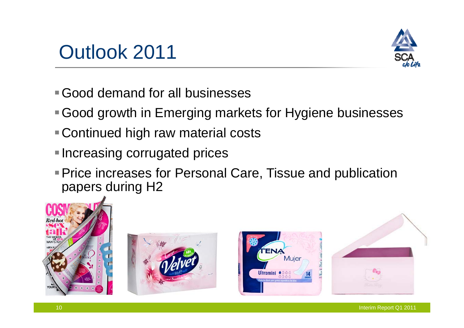



- Good demand for all businesses
- Good growth in Emerging markets for Hygiene businesses
- Continued high raw material costs
- **Increasing corrugated prices**
- Price increases for Personal Care, Tissue and publication papers during H2







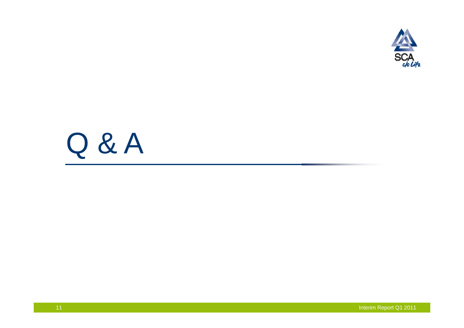

# Q & A